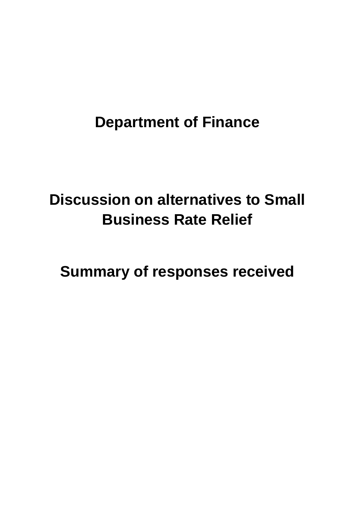# **Department of Finance**

# **Discussion on alternatives to Small Business Rate Relief**

**Summary of responses received**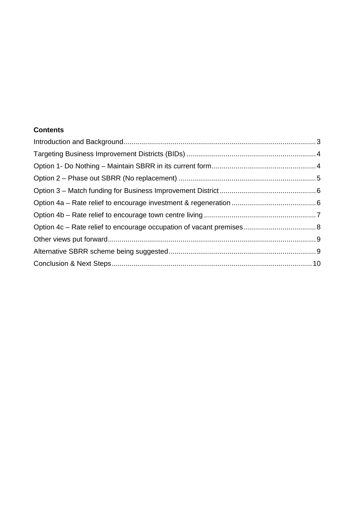### **Contents**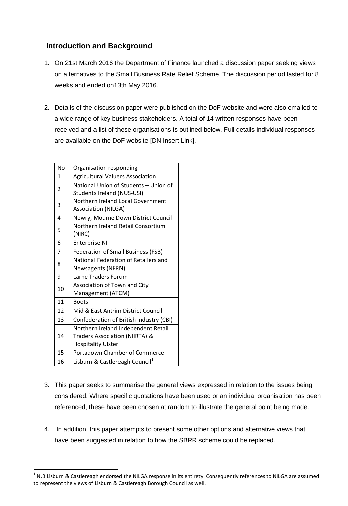# <span id="page-2-0"></span>**Introduction and Background**

- 1. On 21st March 2016 the Department of Finance launched a discussion paper seeking views on alternatives to the Small Business Rate Relief Scheme. The discussion period lasted for 8 weeks and ended on13th May 2016.
- 2. Details of the discussion paper were published on the DoF website and were also emailed to a wide range of key business stakeholders. A total of 14 written responses have been received and a list of these organisations is outlined below. Full details individual responses are available on the DoF website [DN Insert Link].

| No             | Organisation responding                    |  |  |  |  |
|----------------|--------------------------------------------|--|--|--|--|
| 1              | <b>Agricultural Valuers Association</b>    |  |  |  |  |
| $\overline{2}$ | National Union of Students - Union of      |  |  |  |  |
|                | Students Ireland (NUS-USI)                 |  |  |  |  |
| 3              | Northern Ireland Local Government          |  |  |  |  |
|                | <b>Association (NILGA)</b>                 |  |  |  |  |
| 4              | Newry, Mourne Down District Council        |  |  |  |  |
| 5              | Northern Ireland Retail Consortium         |  |  |  |  |
|                | (NIRC)                                     |  |  |  |  |
| 6              | <b>Enterprise NI</b>                       |  |  |  |  |
| $\overline{7}$ | <b>Federation of Small Business (FSB)</b>  |  |  |  |  |
|                | National Federation of Retailers and       |  |  |  |  |
| 8              | Newsagents (NFRN)                          |  |  |  |  |
| 9              | Larne Traders Forum                        |  |  |  |  |
| 10             | Association of Town and City               |  |  |  |  |
|                | Management (ATCM)                          |  |  |  |  |
| 11             | <b>Boots</b>                               |  |  |  |  |
| 12             | Mid & East Antrim District Council         |  |  |  |  |
| 13             | Confederation of British Industry (CBI)    |  |  |  |  |
| 14             | Northern Ireland Independent Retail        |  |  |  |  |
|                | Traders Association (NIIRTA) &             |  |  |  |  |
|                | <b>Hospitality Ulster</b>                  |  |  |  |  |
| 15             | Portadown Chamber of Commerce              |  |  |  |  |
| 16             | Lisburn & Castlereagh Council <sup>1</sup> |  |  |  |  |

- 3. This paper seeks to summarise the general views expressed in relation to the issues being considered. Where specific quotations have been used or an individual organisation has been referenced, these have been chosen at random to illustrate the general point being made.
- 4. In addition, this paper attempts to present some other options and alternative views that have been suggested in relation to how the SBRR scheme could be replaced.

<span id="page-2-1"></span> $1$  N.B Lisburn & Castlereagh endorsed the NILGA response in its entirety. Consequently references to NILGA are assumed to represent the views of Lisburn & Castlereagh Borough Council as well.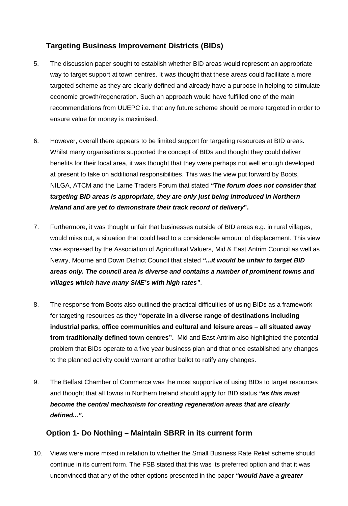# <span id="page-3-0"></span>**Targeting Business Improvement Districts (BIDs)**

- 5. The discussion paper sought to establish whether BID areas would represent an appropriate way to target support at town centres. It was thought that these areas could facilitate a more targeted scheme as they are clearly defined and already have a purpose in helping to stimulate economic growth/regeneration. Such an approach would have fulfilled one of the main recommendations from UUEPC i.e. that any future scheme should be more targeted in order to ensure value for money is maximised.
- 6. However, overall there appears to be limited support for targeting resources at BID areas. Whilst many organisations supported the concept of BIDs and thought they could deliver benefits for their local area, it was thought that they were perhaps not well enough developed at present to take on additional responsibilities. This was the view put forward by Boots, NILGA, ATCM and the Larne Traders Forum that stated *"The forum does not consider that targeting BID areas is appropriate, they are only just being introduced in Northern Ireland and are yet to demonstrate their track record of delivery***".**
- 7. Furthermore, it was thought unfair that businesses outside of BID areas e.g. in rural villages, would miss out, a situation that could lead to a considerable amount of displacement. This view was expressed by the Association of Agricultural Valuers, Mid & East Antrim Council as well as Newry, Mourne and Down District Council that stated *"...it would be unfair to target BID areas only. The council area is diverse and contains a number of prominent towns and villages which have many SME's with high rates"*.
- 8. The response from Boots also outlined the practical difficulties of using BIDs as a framework for targeting resources as they **"operate in a diverse range of destinations including industrial parks, office communities and cultural and leisure areas – all situated away from traditionally defined town centres".** Mid and East Antrim also highlighted the potential problem that BIDs operate to a five year business plan and that once established any changes to the planned activity could warrant another ballot to ratify any changes.
- 9. The Belfast Chamber of Commerce was the most supportive of using BIDs to target resources and thought that all towns in Northern Ireland should apply for BID status *"as this must become the central mechanism for creating regeneration areas that are clearly defined...".*

# <span id="page-3-1"></span>**Option 1- Do Nothing – Maintain SBRR in its current form**

10. Views were more mixed in relation to whether the Small Business Rate Relief scheme should continue in its current form. The FSB stated that this was its preferred option and that it was unconvinced that any of the other options presented in the paper *"would have a greater*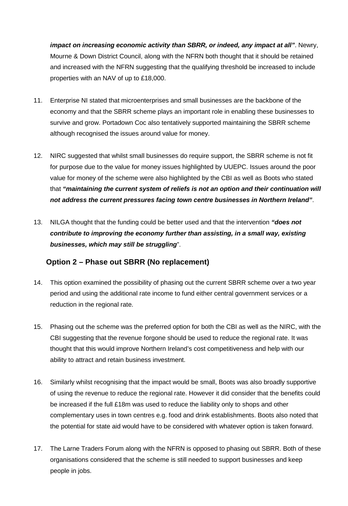*impact on increasing economic activity than SBRR, or indeed, any impact at all"*. Newry, Mourne & Down District Council, along with the NFRN both thought that it should be retained and increased with the NFRN suggesting that the qualifying threshold be increased to include properties with an NAV of up to £18,000.

- 11. Enterprise NI stated that microenterprises and small businesses are the backbone of the economy and that the SBRR scheme plays an important role in enabling these businesses to survive and grow. Portadown Coc also tentatively supported maintaining the SBRR scheme although recognised the issues around value for money.
- 12. NIRC suggested that whilst small businesses do require support, the SBRR scheme is not fit for purpose due to the value for money issues highlighted by UUEPC. Issues around the poor value for money of the scheme were also highlighted by the CBI as well as Boots who stated that *"maintaining the current system of reliefs is not an option and their continuation will not address the current pressures facing town centre businesses in Northern Ireland"*.
- 13. NILGA thought that the funding could be better used and that the intervention *"does not contribute to improving the economy further than assisting, in a small way, existing businesses, which may still be struggling*".

# <span id="page-4-0"></span>**Option 2 – Phase out SBRR (No replacement)**

- 14. This option examined the possibility of phasing out the current SBRR scheme over a two year period and using the additional rate income to fund either central government services or a reduction in the regional rate.
- 15. Phasing out the scheme was the preferred option for both the CBI as well as the NIRC, with the CBI suggesting that the revenue forgone should be used to reduce the regional rate. It was thought that this would improve Northern Ireland's cost competitiveness and help with our ability to attract and retain business investment.
- 16. Similarly whilst recognising that the impact would be small, Boots was also broadly supportive of using the revenue to reduce the regional rate. However it did consider that the benefits could be increased if the full £18m was used to reduce the liability only to shops and other complementary uses in town centres e.g. food and drink establishments. Boots also noted that the potential for state aid would have to be considered with whatever option is taken forward.
- 17. The Larne Traders Forum along with the NFRN is opposed to phasing out SBRR. Both of these organisations considered that the scheme is still needed to support businesses and keep people in jobs.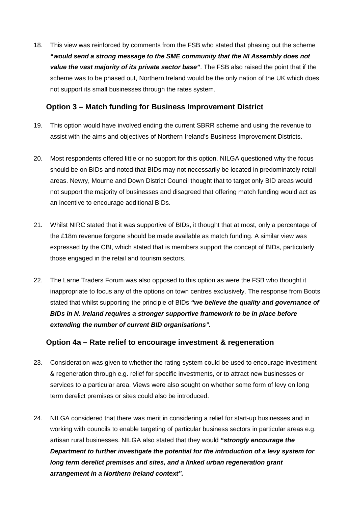18. This view was reinforced by comments from the FSB who stated that phasing out the scheme *"would send a strong message to the SME community that the NI Assembly does not value the vast majority of its private sector base"*. The FSB also raised the point that if the scheme was to be phased out, Northern Ireland would be the only nation of the UK which does not support its small businesses through the rates system.

#### <span id="page-5-0"></span>**Option 3 – Match funding for Business Improvement District**

- 19. This option would have involved ending the current SBRR scheme and using the revenue to assist with the aims and objectives of Northern Ireland's Business Improvement Districts.
- 20. Most respondents offered little or no support for this option. NILGA questioned why the focus should be on BIDs and noted that BIDs may not necessarily be located in predominately retail areas. Newry, Mourne and Down District Council thought that to target only BID areas would not support the majority of businesses and disagreed that offering match funding would act as an incentive to encourage additional BIDs.
- 21. Whilst NIRC stated that it was supportive of BIDs, it thought that at most, only a percentage of the £18m revenue forgone should be made available as match funding. A similar view was expressed by the CBI, which stated that is members support the concept of BIDs, particularly those engaged in the retail and tourism sectors.
- 22. The Larne Traders Forum was also opposed to this option as were the FSB who thought it inappropriate to focus any of the options on town centres exclusively. The response from Boots stated that whilst supporting the principle of BIDs *"we believe the quality and governance of BIDs in N. Ireland requires a stronger supportive framework to be in place before extending the number of current BID organisations".*

# <span id="page-5-1"></span>**Option 4a – Rate relief to encourage investment & regeneration**

- 23. Consideration was given to whether the rating system could be used to encourage investment & regeneration through e.g. relief for specific investments, or to attract new businesses or services to a particular area. Views were also sought on whether some form of levy on long term derelict premises or sites could also be introduced.
- 24. NILGA considered that there was merit in considering a relief for start-up businesses and in working with councils to enable targeting of particular business sectors in particular areas e.g. artisan rural businesses. NILGA also stated that they would *"strongly encourage the Department to further investigate the potential for the introduction of a levy system for long term derelict premises and sites, and a linked urban regeneration grant arrangement in a Northern Ireland context".*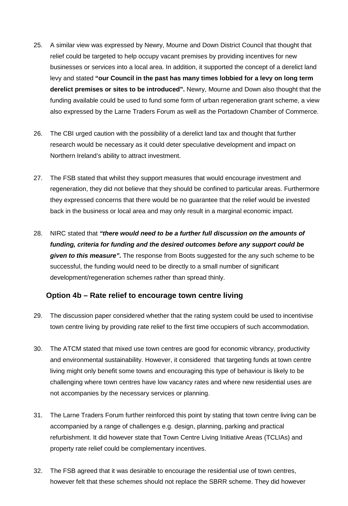- 25. A similar view was expressed by Newry, Mourne and Down District Council that thought that relief could be targeted to help occupy vacant premises by providing incentives for new businesses or services into a local area. In addition, it supported the concept of a derelict land levy and stated **"our Council in the past has many times lobbied for a levy on long term derelict premises or sites to be introduced".** Newry, Mourne and Down also thought that the funding available could be used to fund some form of urban regeneration grant scheme, a view also expressed by the Larne Traders Forum as well as the Portadown Chamber of Commerce.
- 26. The CBI urged caution with the possibility of a derelict land tax and thought that further research would be necessary as it could deter speculative development and impact on Northern Ireland's ability to attract investment.
- 27. The FSB stated that whilst they support measures that would encourage investment and regeneration, they did not believe that they should be confined to particular areas. Furthermore they expressed concerns that there would be no guarantee that the relief would be invested back in the business or local area and may only result in a marginal economic impact.
- 28. NIRC stated that *"there would need to be a further full discussion on the amounts of funding, criteria for funding and the desired outcomes before any support could be given to this measure".* The response from Boots suggested for the any such scheme to be successful, the funding would need to be directly to a small number of significant development/regeneration schemes rather than spread thinly.

#### <span id="page-6-0"></span>**Option 4b – Rate relief to encourage town centre living**

- 29. The discussion paper considered whether that the rating system could be used to incentivise town centre living by providing rate relief to the first time occupiers of such accommodation.
- 30. The ATCM stated that mixed use town centres are good for economic vibrancy, productivity and environmental sustainability. However, it considered that targeting funds at town centre living might only benefit some towns and encouraging this type of behaviour is likely to be challenging where town centres have low vacancy rates and where new residential uses are not accompanies by the necessary services or planning.
- 31. The Larne Traders Forum further reinforced this point by stating that town centre living can be accompanied by a range of challenges e.g. design, planning, parking and practical refurbishment. It did however state that Town Centre Living Initiative Areas (TCLIAs) and property rate relief could be complementary incentives.
- 32. The FSB agreed that it was desirable to encourage the residential use of town centres, however felt that these schemes should not replace the SBRR scheme. They did however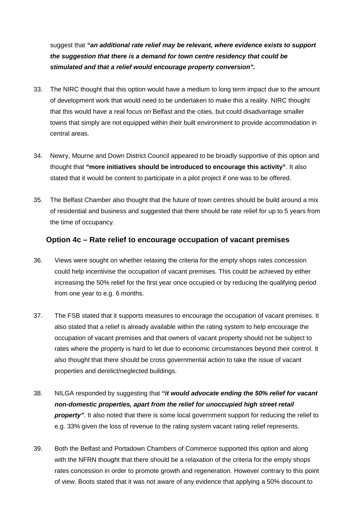suggest that *"an additional rate relief may be relevant, where evidence exists to support the suggestion that there is a demand for town centre residency that could be stimulated and that a relief would encourage property conversion".*

- 33. The NIRC thought that this option would have a medium to long term impact due to the amount of development work that would need to be undertaken to make this a reality. NIRC thought that this would have a real focus on Belfast and the cities, but could disadvantage smaller towns that simply are not equipped within their built environment to provide accommodation in central areas.
- 34. Newry, Mourne and Down District Council appeared to be broadly supportive of this option and thought that **"more initiatives should be introduced to encourage this activity"**. It also stated that it would be content to participate in a pilot project if one was to be offered.
- 35. The Belfast Chamber also thought that the future of town centres should be build around a mix of residential and business and suggested that there should be rate relief for up to 5 years from the time of occupancy.

#### <span id="page-7-0"></span>**Option 4c – Rate relief to encourage occupation of vacant premises**

- 36. Views were sought on whether relaxing the criteria for the empty shops rates concession could help incentivise the occupation of vacant premises. This could be achieved by either increasing the 50% relief for the first year once occupied or by reducing the qualifying period from one year to e.g. 6 months.
- 37. The FSB stated that it supports measures to encourage the occupation of vacant premises. It also stated that a relief is already available within the rating system to help encourage the occupation of vacant premises and that owners of vacant property should not be subject to rates where the property is hard to let due to economic circumstances beyond their control. It also thought that there should be cross governmental action to take the issue of vacant properties and derelict/neglected buildings.
- 38. NILGA responded by suggesting that *"it would advocate ending the 50% relief for vacant non-domestic properties, apart from the relief for unoccupied high street retail*  **property**". It also noted that there is some local government support for reducing the relief to e.g. 33% given the loss of revenue to the rating system vacant rating relief represents.
- 39. Both the Belfast and Portadown Chambers of Commerce supported this option and along with the NFRN thought that there should be a relaxation of the criteria for the empty shops rates concession in order to promote growth and regeneration. However contrary to this point of view, Boots stated that it was not aware of any evidence that applying a 50% discount to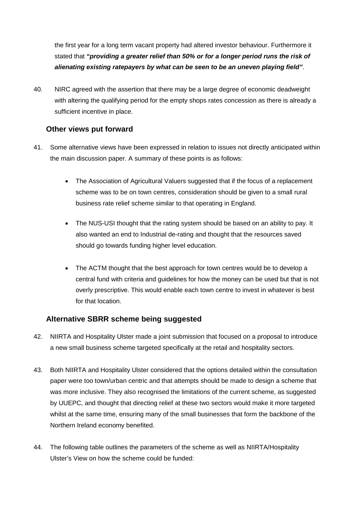the first year for a long term vacant property had altered investor behaviour. Furthermore it stated that *"providing a greater relief than 50% or for a longer period runs the risk of alienating existing ratepayers by what can be seen to be an uneven playing field"*.

40. NIRC agreed with the assertion that there may be a large degree of economic deadweight with altering the qualifying period for the empty shops rates concession as there is already a sufficient incentive in place.

#### <span id="page-8-0"></span>**Other views put forward**

- 41. Some alternative views have been expressed in relation to issues not directly anticipated within the main discussion paper. A summary of these points is as follows:
	- The Association of Agricultural Valuers suggested that if the focus of a replacement scheme was to be on town centres, consideration should be given to a small rural business rate relief scheme similar to that operating in England.
	- The NUS-USI thought that the rating system should be based on an ability to pay. It also wanted an end to Industrial de-rating and thought that the resources saved should go towards funding higher level education.
	- The ACTM thought that the best approach for town centres would be to develop a central fund with criteria and guidelines for how the money can be used but that is not overly prescriptive. This would enable each town centre to invest in whatever is best for that location.

#### <span id="page-8-1"></span>**Alternative SBRR scheme being suggested**

- 42. NIIRTA and Hospitality Ulster made a joint submission that focused on a proposal to introduce a new small business scheme targeted specifically at the retail and hospitality sectors.
- 43. Both NIIRTA and Hospitality Ulster considered that the options detailed within the consultation paper were too town/urban centric and that attempts should be made to design a scheme that was more inclusive. They also recognised the limitations of the current scheme, as suggested by UUEPC, and thought that directing relief at these two sectors would make it more targeted whilst at the same time, ensuring many of the small businesses that form the backbone of the Northern Ireland economy benefited.
- 44. The following table outlines the parameters of the scheme as well as NIIRTA/Hospitality Ulster's View on how the scheme could be funded: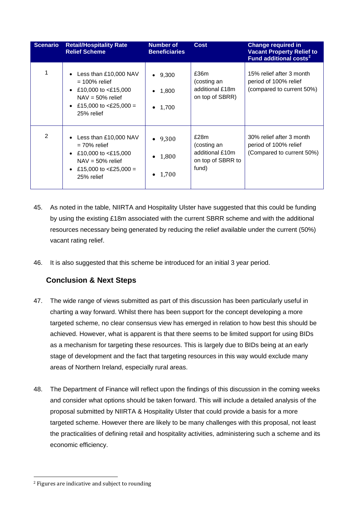| <b>Scenario</b> | <b>Retail/Hospitality Rate</b><br><b>Relief Scheme</b>                                                                               | <b>Number of</b><br><b>Beneficiaries</b>            | <b>Cost</b>                                                          | <b>Change required in</b><br><b>Vacant Property Relief to</b><br>Fund additional costs <sup>2</sup> |
|-----------------|--------------------------------------------------------------------------------------------------------------------------------------|-----------------------------------------------------|----------------------------------------------------------------------|-----------------------------------------------------------------------------------------------------|
|                 | Less than £10,000 NAV<br>$= 100\%$ relief<br>£10,000 to $<$ £15,000<br>$NAV = 50\%$ relief<br>£15,000 to $<$ £25,000 =<br>25% relief | • 9,300<br>1,800<br>$\bullet$<br>1,700<br>$\bullet$ | £36m<br>(costing an<br>additional £18m<br>on top of SBRR)            | 15% relief after 3 month<br>period of 100% relief<br>(compared to current 50%)                      |
| 2               | Less than £10,000 NAV<br>$= 70\%$ relief<br>£10,000 to $<$ £15,000<br>$NAV = 50\%$ relief<br>£15,000 to $<$ £25,000 =<br>25% relief  | • 9,300<br>1,800<br>$\bullet$<br>$\bullet$ 1,700    | £28m<br>(costing an<br>additional £10m<br>on top of SBRR to<br>fund) | 30% relief after 3 month<br>period of 100% relief<br>(Compared to current 50%)                      |

- 45. As noted in the table, NIIRTA and Hospitality Ulster have suggested that this could be funding by using the existing £18m associated with the current SBRR scheme and with the additional resources necessary being generated by reducing the relief available under the current (50%) vacant rating relief.
- 46. It is also suggested that this scheme be introduced for an initial 3 year period.

# <span id="page-9-0"></span>**Conclusion & Next Steps**

- 47. The wide range of views submitted as part of this discussion has been particularly useful in charting a way forward. Whilst there has been support for the concept developing a more targeted scheme, no clear consensus view has emerged in relation to how best this should be achieved. However, what is apparent is that there seems to be limited support for using BIDs as a mechanism for targeting these resources. This is largely due to BIDs being at an early stage of development and the fact that targeting resources in this way would exclude many areas of Northern Ireland, especially rural areas.
- 48. The Department of Finance will reflect upon the findings of this discussion in the coming weeks and consider what options should be taken forward. This will include a detailed analysis of the proposal submitted by NIIRTA & Hospitality Ulster that could provide a basis for a more targeted scheme. However there are likely to be many challenges with this proposal, not least the practicalities of defining retail and hospitality activities, administering such a scheme and its economic efficiency.

 $\overline{a}$ 

<span id="page-9-1"></span><sup>2</sup> Figures are indicative and subject to rounding